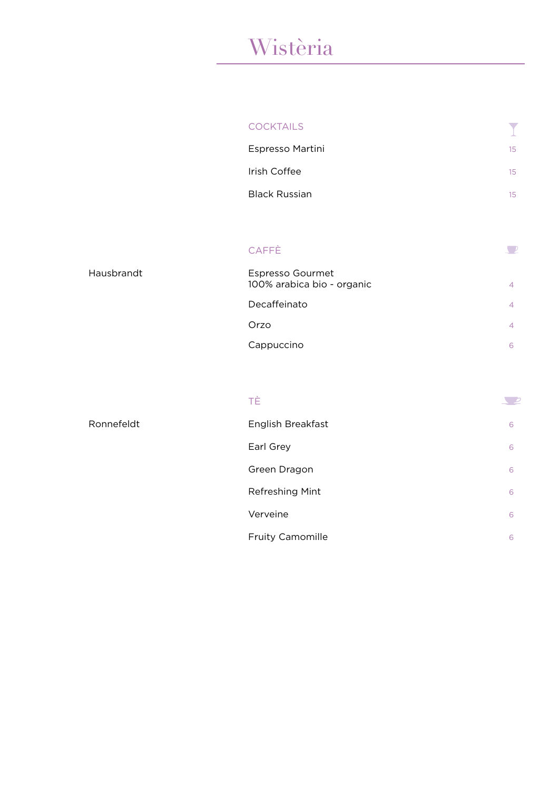### Wistèria

| <b>COCKTAILS</b>     |    |
|----------------------|----|
| Espresso Martini     | 15 |
| Irish Coffee         | 15 |
| <b>Black Russian</b> | 15 |

 $\sqrt{2}$ 

#### CAFFÈ

| Espresso Gourmet<br>100% arabica bio - organic |   |
|------------------------------------------------|---|
| Decaffeinato                                   | ⊿ |
| Orzo                                           |   |
| Cappuccino                                     |   |

#### TÈ

Ronnefeldt

Hausbrandt

| ТÈ                      |   |
|-------------------------|---|
| English Breakfast       | 6 |
| Earl Grey               | 6 |
| Green Dragon            | 6 |
| Refreshing Mint         | 6 |
| Verveine                | 6 |
| <b>Fruity Camomille</b> | 6 |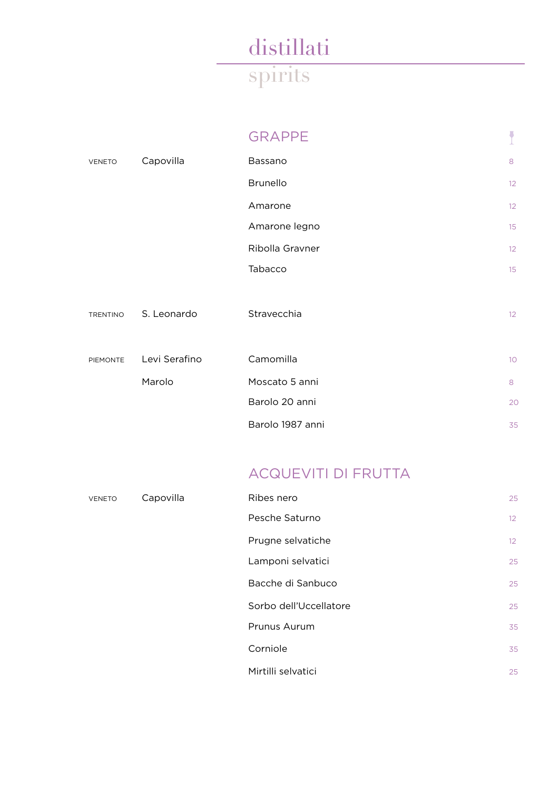|                 |               | <b>GRAPPE</b>    |                |
|-----------------|---------------|------------------|----------------|
| <b>VENETO</b>   | Capovilla     | Bassano          | 8              |
|                 |               | <b>Brunello</b>  | 12             |
|                 |               | Amarone          | 12             |
|                 |               | Amarone legno    | 15             |
|                 |               | Ribolla Gravner  | 12             |
|                 |               | Tabacco          | 15             |
| <b>TRENTINO</b> | S. Leonardo   | Stravecchia      | 12             |
| <b>PIEMONTE</b> | Levi Serafino | Camomilla        | 10             |
|                 | Marolo        | Moscato 5 anni   | 8              |
|                 |               | Barolo 20 anni   | 2 <sup>c</sup> |
|                 |               | Barolo 1987 anni | 35             |

### ACQUEVITI DI FRUTTA

| <b>VENETO</b> | Capovilla | Ribes nero             | 25              |
|---------------|-----------|------------------------|-----------------|
|               |           | Pesche Saturno         | 12 <sup>°</sup> |
|               |           | Prugne selvatiche      | 12 <sup>°</sup> |
|               |           | Lamponi selvatici      | 25              |
|               |           | Bacche di Sanbuco      | 25              |
|               |           | Sorbo dell'Uccellatore | 25              |
|               |           | Prunus Aurum           | 35              |
|               |           | Corniole               | 35              |
|               |           | Mirtilli selvatici     | 25              |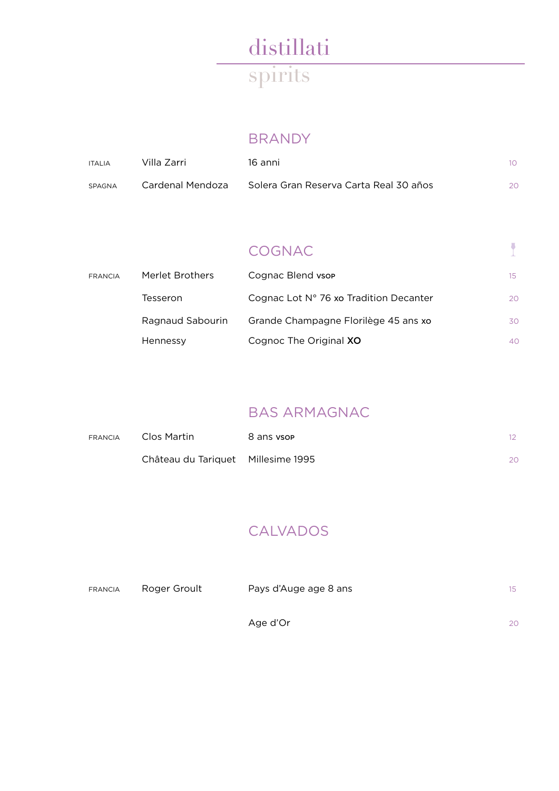### BRANDY

| <b>ITALIA</b> | Villa Zarri      | 16 anni                                  | $10-1$ |
|---------------|------------------|------------------------------------------|--------|
| SPAGNA        | Cardenal Mendoza | - Solera Gran Reserva Carta Real 30 años | 20     |

### COGNAC

 $\overline{1}$ 

| <b>FRANCIA</b> | Merlet Brothers  | Cognac Blend vsop                      | 15 |
|----------------|------------------|----------------------------------------|----|
|                | Tesseron         | Cognac Lot N° 76 xo Tradition Decanter | 20 |
|                | Ragnaud Sabourin | Grande Champagne Florilège 45 ans xo   | 30 |
|                | Hennessy         | Cognoc The Original XO                 | 40 |

### BAS ARMAGNAC

| <b>FRANCIA</b> | Clos Martin                        | 8 ans vsop | $12-12$ |
|----------------|------------------------------------|------------|---------|
|                | Château du Tariquet Millesime 1995 |            | 20      |

### CALVADOS

| <b>FRANCIA</b> | Roger Groult | Pays d'Auge age 8 ans | 15 |
|----------------|--------------|-----------------------|----|
|                |              | Age d'Or              | 20 |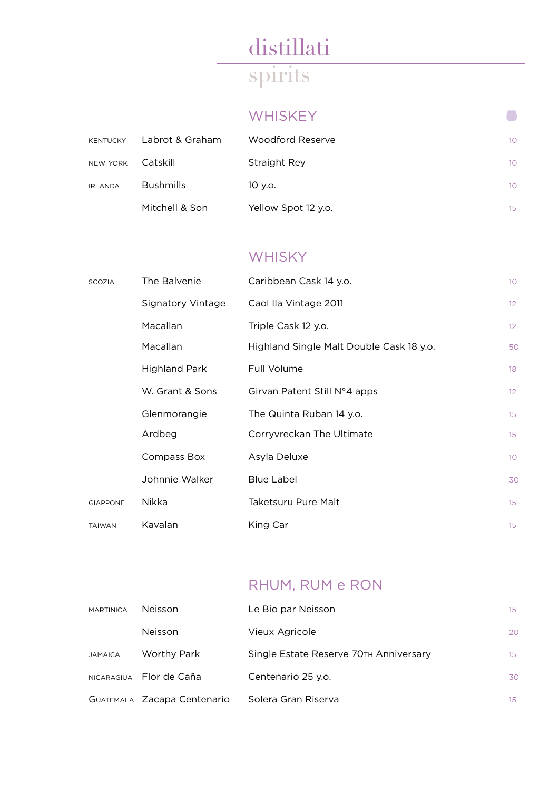#### **WHISKEY**

| <b>KENTUCKY</b> | Labrot & Graham  | Woodford Reserve    | 10 <sup>°</sup> |
|-----------------|------------------|---------------------|-----------------|
| <b>NEW YORK</b> | Catskill         | Straight Rey        | 10 <sup>°</sup> |
| <b>IRLANDA</b>  | <b>Bushmills</b> | 10 v.o.             | 10 <sup>°</sup> |
|                 | Mitchell & Son   | Yellow Spot 12 y.o. | 15 <sup>2</sup> |

### **WHISKY**

| <b>SCOZIA</b>   | The Balvenie             | Caribbean Cask 14 y.o.                   | 10 <sup>°</sup> |
|-----------------|--------------------------|------------------------------------------|-----------------|
|                 | <b>Signatory Vintage</b> | Caol Ila Vintage 2011                    | 12 <sup>°</sup> |
|                 | Macallan                 | Triple Cask 12 y.o.                      | 12 <sup>°</sup> |
|                 | Macallan                 | Highland Single Malt Double Cask 18 y.o. | 50              |
|                 | <b>Highland Park</b>     | Full Volume                              | 18              |
|                 | W. Grant & Sons          | Girvan Patent Still N°4 apps             | 12              |
|                 | Glenmorangie             | The Quinta Ruban 14 y.o.                 | 15              |
|                 | Ardbeg                   | Corryvreckan The Ultimate                | 15              |
|                 | Compass Box              | Asyla Deluxe                             | 10 <sup>°</sup> |
|                 | Johnnie Walker           | <b>Blue Label</b>                        | 30              |
| <b>GIAPPONE</b> | Nikka                    | Taketsuru Pure Malt                      | 15              |
| <b>TAIWAN</b>   | Kavalan                  | King Car                                 | 15              |

### RHUM, RUM e RON

| <b>MARTINICA</b>  | Neisson                     | Le Bio par Neisson                     | 15               |
|-------------------|-----------------------------|----------------------------------------|------------------|
|                   | Neisson                     | Vieux Agricole                         | 20               |
| <b>JAMAICA</b>    | Worthy Park                 | Single Estate Reserve 70TH Anniversary | 15 <sup>°</sup>  |
| <b>NICARAGIUA</b> | Flor de Caña                | Centenario 25 y.o.                     | 30               |
|                   | GUATEMALA Zacapa Centenario | Solera Gran Riserva                    | 15 <sup>15</sup> |